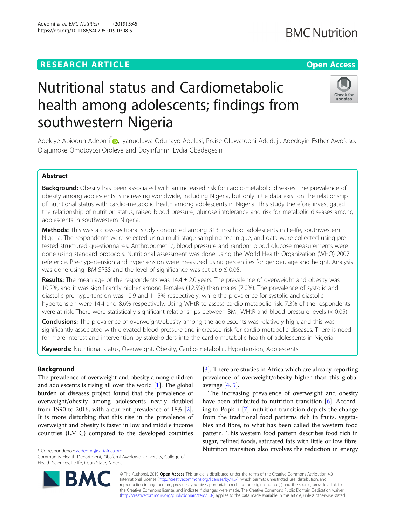# **RESEARCH ARTICLE Example 2014 12:30 The Contract of Contract ACCESS**

# Nutritional status and Cardiometabolic health among adolescents; findings from southwestern Nigeria

Adeleye Abiodun Adeomi<sup>\*</sup> , Iyanuoluwa Odunayo Adelusi, Praise Oluwatooni Adedeji, Adedoyin Esther Awofeso, Olajumoke Omotoyosi Oroleye and Doyinfunmi Lydia Gbadegesin

# Abstract

Background: Obesity has been associated with an increased risk for cardio-metabolic diseases. The prevalence of obesity among adolescents is increasing worldwide, including Nigeria, but only little data exist on the relationship of nutritional status with cardio-metabolic health among adolescents in Nigeria. This study therefore investigated the relationship of nutrition status, raised blood pressure, glucose intolerance and risk for metabolic diseases among adolescents in southwestern Nigeria.

Methods: This was a cross-sectional study conducted among 313 in-school adolescents in Ile-Ife, southwestern Nigeria. The respondents were selected using multi-stage sampling technique, and data were collected using pretested structured questionnaires. Anthropometric, blood pressure and random blood glucose measurements were done using standard protocols. Nutritional assessment was done using the World Health Organization (WHO) 2007 reference. Pre-hypertension and hypertension were measured using percentiles for gender, age and height. Analysis was done using IBM SPSS and the level of significance was set at  $p \le 0.05$ .

**Results:** The mean age of the respondents was  $14.4 \pm 2.0$  years. The prevalence of overweight and obesity was 10.2%, and it was significantly higher among females (12.5%) than males (7.0%). The prevalence of systolic and diastolic pre-hypertension was 10.9 and 11.5% respectively, while the prevalence for systolic and diastolic hypertension were 14.4 and 8.6% respectively. Using WHtR to assess cardio-metabolic risk, 7.3% of the respondents were at risk. There were statistically significant relationships between BMI, WHtR and blood pressure levels (< 0.05).

**Conclusions:** The prevalence of overweight/obesity among the adolescents was relatively high, and this was significantly associated with elevated blood pressure and increased risk for cardio-metabolic diseases. There is need for more interest and intervention by stakeholders into the cardio-metabolic health of adolescents in Nigeria.

Keywords: Nutritional status, Overweight, Obesity, Cardio-metabolic, Hypertension, Adolescents

# Background

The prevalence of overweight and obesity among children and adolescents is rising all over the world [[1](#page-6-0)]. The global burden of diseases project found that the prevalence of overweight/obesity among adolescents nearly doubled from 1990 to 2016, with a current prevalence of 18% [[2](#page-6-0)]. It is more disturbing that this rise in the prevalence of overweight and obesity is faster in low and middle income countries (LMIC) compared to the developed countries

\* Correspondence: [aadeomi@cartafrica.org](mailto:aadeomi@cartafrica.org)

© The Author(s). 2019 **Open Access** This article is distributed under the terms of the Creative Commons Attribution 4.0 International License [\(http://creativecommons.org/licenses/by/4.0/](http://creativecommons.org/licenses/by/4.0/)), which permits unrestricted use, distribution, and reproduction in any medium, provided you give appropriate credit to the original author(s) and the source, provide a link to the Creative Commons license, and indicate if changes were made. The Creative Commons Public Domain Dedication waiver [\(http://creativecommons.org/publicdomain/zero/1.0/](http://creativecommons.org/publicdomain/zero/1.0/)) applies to the data made available in this article, unless otherwise stated.

average  $[4, 5]$  $[4, 5]$  $[4, 5]$ .

[[3\]](#page-6-0). There are studies in Africa which are already reporting prevalence of overweight/obesity higher than this global

The increasing prevalence of overweight and obesity have been attributed to nutrition transition [\[6](#page-6-0)]. According to Popkin [[7\]](#page-6-0), nutrition transition depicts the change from the traditional food patterns rich in fruits, vegetables and fibre, to what has been called the western food pattern. This western food pattern describes food rich in sugar, refined foods, saturated fats with little or low fibre. Nutrition transition also involves the reduction in energy







Community Health Department, Obafemi Awolowo University, College of Health Sciences, Ile-Ife, Osun State, Nigeria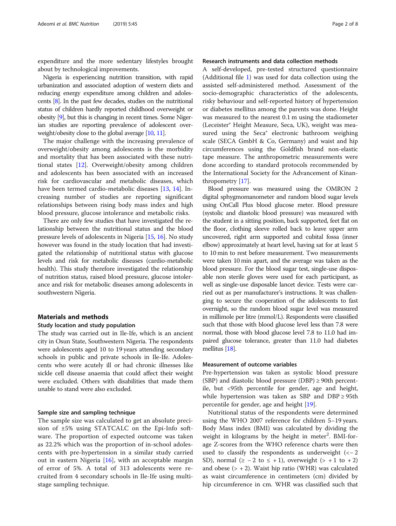expenditure and the more sedentary lifestyles brought about by technological improvements.

Nigeria is experiencing nutrition transition, with rapid urbanization and associated adoption of western diets and reducing energy expenditure among children and adolescents [[8](#page-6-0)]. In the past few decades, studies on the nutritional status of children hardly reported childhood overweight or obesity [\[9\]](#page-6-0), but this is changing in recent times. Some Nigerian studies are reporting prevalence of adolescent overweight/obesity close to the global average [[10,](#page-6-0) [11\]](#page-6-0).

The major challenge with the increasing prevalence of overweight/obesity among adolescents is the morbidity and mortality that has been associated with these nutritional states [\[12](#page-6-0)]. Overweight/obesity among children and adolescents has been associated with an increased risk for cardiovascular and metabolic diseases, which have been termed cardio-metabolic diseases [[13](#page-6-0), [14\]](#page-6-0). Increasing number of studies are reporting significant relationships between rising body mass index and high blood pressure, glucose intolerance and metabolic risks.

There are only few studies that have investigated the relationship between the nutritional status and the blood pressure levels of adolescents in Nigeria [[15,](#page-6-0) [16\]](#page-6-0). No study however was found in the study location that had investigated the relationship of nutritional status with glucose levels and risk for metabolic diseases (cardio-metabolic health). This study therefore investigated the relationship of nutrition status, raised blood pressure, glucose intolerance and risk for metabolic diseases among adolescents in southwestern Nigeria.

# Materials and methods

#### Study location and study population

The study was carried out in Ile-Ife, which is an ancient city in Osun State, Southwestern Nigeria. The respondents were adolescents aged 10 to 19 years attending secondary schools in public and private schools in Ile-Ife. Adolescents who were acutely ill or had chronic illnesses like sickle cell disease anaemia that could affect their weight were excluded. Others with disabilities that made them unable to stand were also excluded.

#### Sample size and sampling technique

The sample size was calculated to get an absolute precision of ±5% using STATCALC on the Epi-Info software. The proportion of expected outcome was taken as 22.2% which was the proportion of in-school adolescents with pre-hypertension in a similar study carried out in eastern Nigeria [\[16](#page-6-0)], with an acceptable margin of error of 5%. A total of 313 adolescents were recruited from 4 secondary schools in Ile-Ife using multistage sampling technique.

# Research instruments and data collection methods

A self-developed, pre-tested structured questionnaire (Additional file [1](#page-6-0)) was used for data collection using the assisted self-administered method. Assessment of the socio-demographic characteristics of the adolescents, risky behaviour and self-reported history of hypertension or diabetes mellitus among the parents was done. Height was measured to the nearest 0.1 m using the stadiometer (Leceister® Height Measure, Seca, UK), weight was measured using the Seca® electronic bathroom weighing scale (SECA GmbH & Co, Germany) and waist and hip circumferences using the Goldfish brand non-elastic tape measure. The anthropometric measurements were done according to standard protocols recommended by the International Society for the Advancement of Kinanthropometry [\[17](#page-6-0)].

Blood pressure was measured using the OMRON 2 digital sphygmomanometer and random blood sugar levels using OnCall Plus blood glucose meter. Blood pressure (systolic and diastolic blood pressure) was measured with the student in a sitting position, back supported, feet flat on the floor, clothing sleeve rolled back to leave upper arm uncovered, right arm supported and cubital fossa (inner elbow) approximately at heart level, having sat for at least 5 to 10 min to rest before measurement. Two measurements were taken 10 min apart, and the average was taken as the blood pressure. For the blood sugar test, single-use disposable non sterile gloves were used for each participant, as well as single-use disposable lancet device. Tests were carried out as per manufacturer's instructions. It was challenging to secure the cooperation of the adolescents to fast overnight, so the random blood sugar level was measured in millimole per litre (mmol/L). Respondents were classified such that those with blood glucose level less than 7.8 were normal, those with blood glucose level 7.8 to 11.0 had impaired glucose tolerance, greater than 11.0 had diabetes mellitus [\[18\]](#page-6-0).

#### Measurement of outcome variables

Pre-hypertension was taken as systolic blood pressure (SBP) and diastolic blood pressure (DBP)  $\geq$  90th percentile, but <95th percentile for gender, age and height, while hypertension was taken as SBP and DBP ≥ 95th percentile for gender, age and height [\[19](#page-6-0)].

Nutritional status of the respondents were determined using the WHO 2007 reference for children 5–19 years. Body Mass index (BMI) was calculated by dividing the weight in kilograms by the height in meter<sup>2</sup>. BMI-forage Z-scores from the WHO reference charts were then used to classify the respondents as underweight  $(<-2)$ SD), normal  $(≥ -2$  to  $≤ +1)$ , overweight  $(> +1$  to  $+2)$ and obese  $(> + 2)$ . Waist hip ratio (WHR) was calculated as waist circumference in centimeters (cm) divided by hip circumference in cm. WHR was classified such that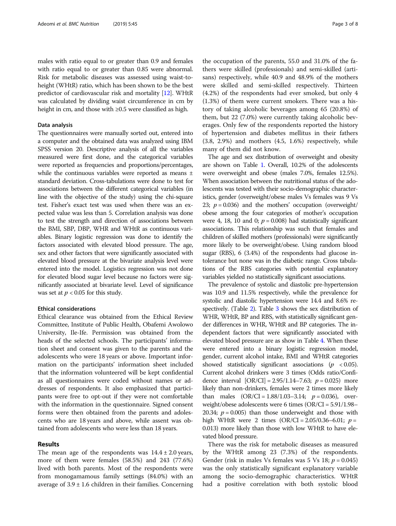males with ratio equal to or greater than 0.9 and females with ratio equal to or greater than 0.85 were abnormal. Risk for metabolic diseases was assessed using waist-toheight (WHtR) ratio, which has been shown to be the best predictor of cardiovascular risk and mortality [\[12\]](#page-6-0). WHtR was calculated by dividing waist circumference in cm by height in cm, and those with ≥0.5 were classified as high.

#### Data analysis

The questionnaires were manually sorted out, entered into a computer and the obtained data was analyzed using IBM SPSS version 20. Descriptive analysis of all the variables measured were first done, and the categorical variables were reported as frequencies and proportions/percentages, while the continuous variables were reported as means ± standard deviation. Cross-tabulations were done to test for associations between the different categorical variables (in line with the objective of the study) using the chi-square test. Fisher's exact test was used when there was an expected value was less than 5. Correlation analysis was done to test the strength and direction of associations between the BMI, SBP, DBP, WHR and WHtR as continuous variables. Binary logistic regression was done to identify the factors associated with elevated blood pressure. The age, sex and other factors that were significantly associated with elevated blood pressure at the bivariate analysis level were entered into the model. Logistics regression was not done for elevated blood sugar level because no factors were significantly associated at bivariate level. Level of significance was set at  $p < 0.05$  for this study.

# Ethical considerations

Ethical clearance was obtained from the Ethical Review Committee, Institute of Public Health, Obafemi Awolowo University, Ile-Ife. Permission was obtained from the heads of the selected schools. The participants' information sheet and consent was given to the parents and the adolescents who were 18 years or above. Important information on the participants' information sheet included that the information volunteered will be kept confidential as all questionnaires were coded without names or addresses of respondents. It also emphasized that participants were free to opt-out if they were not comfortable with the information in the questionnaire. Signed consent forms were then obtained from the parents and adolescents who are 18 years and above, while assent was obtained from adolescents who were less than 18 years.

#### Results

The mean age of the respondents was  $14.4 \pm 2.0$  years, more of them were females (58.5%) and 243 (77.6%) lived with both parents. Most of the respondents were from monogamamous family settings (84.0%) with an average of  $3.9 \pm 1.6$  children in their families. Concerning

the occupation of the parents, 55.0 and 31.0% of the fathers were skilled (professionals) and semi-skilled (artisans) respectively, while 40.9 and 48.9% of the mothers were skilled and semi-skilled respectively. Thirteen (4.2%) of the respondents had ever smoked, but only 4 (1.3%) of them were current smokers. There was a history of taking alcoholic beverages among 65 (20.8%) of them, but 22 (7.0%) were currently taking alcoholic beverages. Only few of the respondents reported the history of hypertension and diabetes mellitus in their fathers (3.8, 2.9%) and mothers (4.5, 1.6%) respectively, while many of them did not know.

The age and sex distribution of overweight and obesity are shown on Table [1.](#page-3-0) Overall, 10.2% of the adolescents were overweight and obese (males 7.0%, females 12.5%). When association between the nutritional status of the adolescents was tested with their socio-demographic characteristics, gender (overweight/obese males Vs females was 9 Vs 23;  $p = 0.036$ ) and the mothers' occupation (overweight/ obese among the four categories of mother's occupation were 4, 18, 10 and 0;  $p = 0.008$ ) had statistically significant associations. This relationship was such that females and children of skilled mothers (professionals) were significantly more likely to be overweight/obese. Using random blood sugar (RBS), 6 (3.4%) of the respondents had glucose intolerance but none was in the diabetic range. Cross tabulations of the RBS categories with potential explanatory variables yielded no statistically significant associations.

The prevalence of systolic and diastolic pre-hypertension was 10.9 and 11.5% respectively, while the prevalence for systolic and diastolic hypertension were 14.4 and 8.6% respectively. (Table [2\)](#page-3-0). Table [3](#page-3-0) shows the sex distribution of WHR, WHtR, BP and RBS, with statistically significant gender differences in WHR, WHtR and BP categories. The independent factors that were significantly associated with elevated blood pressure are as show in Table [4.](#page-4-0) When these were entered into a binary logistic regression model, gender, current alcohol intake, BMI and WHtR categories showed statistically significant associations ( $p < 0.05$ ). Current alcohol drinkers were 3 times (Odds ratio/Confidence interval  $[OR/CI] = 2.95/1.14 - 7.63$ ;  $p = 0.025$ ) more likely than non-drinkers, females were 2 times more likely than males  $(OR/CI = 1.88/1.03-3.14; p = 0.036)$ , overweight/obese adolescents were 6 times (OR/CI = 5.91/1.98– 20.34;  $p = 0.005$ ) than those underweight and those with high WHtR were 2 times  $(OR/CI = 2.05/0.36 - 6.01; p =$ 0.013) more likely than those with low WHtR to have elevated blood pressure.

There was the risk for metabolic diseases as measured by the WHtR among 23 (7.3%) of the respondents. Gender (risk in males Vs females was 5 Vs 18;  $p = 0.045$ ) was the only statistically significant explanatory variable among the socio-demographic characteristics. WHtR had a positive correlation with both systolic blood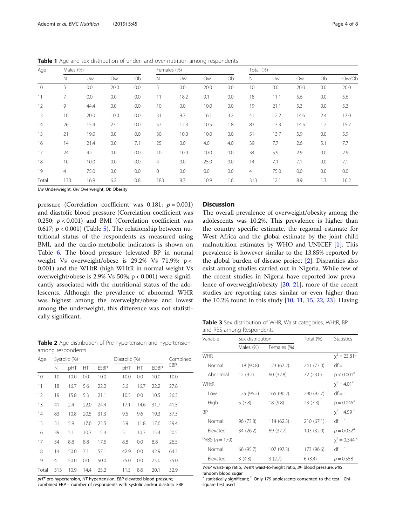<span id="page-3-0"></span>

| Table 1 Age and sex distribution of under- and over-nutrition among respondents |  |
|---------------------------------------------------------------------------------|--|
|---------------------------------------------------------------------------------|--|

| Age   |                | Males (%) |           |     |             | Females (%) |           |     |                | Total (%) |           |     |       |  |
|-------|----------------|-----------|-----------|-----|-------------|-------------|-----------|-----|----------------|-----------|-----------|-----|-------|--|
|       | N              | Uw        | <b>Ow</b> | Ob  | N           | Uw          | <b>Ow</b> | Ob  | N              | Uw        | <b>Ow</b> | Ob  | Ow/Ob |  |
| 10    | 5              | 0.0       | 20.0      | 0.0 | 5           | 0.0         | 20.0      | 0.0 | 10             | 0.0       | 20.0      | 0.0 | 20.0  |  |
| 11    | 7              | 0.0       | 0.0       | 0.0 | 11          | 18.2        | 9.1       | 0.0 | 18             | 11.1      | 5.6       | 0.0 | 5.6   |  |
| 12    | 9              | 44.4      | 0.0       | 0.0 | 10          | 0.0         | 10.0      | 0.0 | 19             | 21.1      | 5.3       | 0.0 | 5.3   |  |
| 13    | 10             | 20.0      | 10.0      | 0.0 | 31          | 9.7         | 16.1      | 3.2 | 41             | 12.2      | 14.6      | 2.4 | 17.0  |  |
| 14    | 26             | 15.4      | 23.1      | 0.0 | 57          | 12.3        | 10.5      | 1.8 | 83             | 13.3      | 14.5      | 1.2 | 15.7  |  |
| 15    | 21             | 19.0      | 0.0       | 0.0 | 30          | 10.0        | 10.0      | 0.0 | 51             | 13.7      | 5.9       | 0.0 | 5.9   |  |
| 16    | 14             | 21.4      | 0.0       | 7.1 | 25          | 0.0         | 4.0       | 4.0 | 39             | 7.7       | 2.6       | 5.1 | 7.7   |  |
| 17    | 24             | 4.2       | 0.0       | 0.0 | 10          | 10.0        | 10.0      | 0.0 | 34             | 5.9       | 2.9       | 0.0 | 2.9   |  |
| 18    | 10             | 10.0      | 0.0       | 0.0 | 4           | 0.0         | 25.0      | 0.0 | 14             | 7.1       | 7.1       | 0.0 | 7.1   |  |
| 19    | $\overline{4}$ | 75.0      | 0.0       | 0.0 | $\mathbf 0$ | 0.0         | 0.0       | 0.0 | $\overline{4}$ | 75.0      | 0.0       | 0.0 | 0.0   |  |
| Total | 130            | 16.9      | 6.2       | 0.8 | 183         | 8.7         | 10.9      | 1.6 | 313            | 12.1      | 8.9       | 1.3 | 10.2  |  |

Uw Underweight, Ow Overweight, Ob Obesity

amon

pressure (Correlation coefficient was 0.181;  $p = 0.001$ ) and diastolic blood pressure (Correlation coefficient was 0.250;  $p < 0.001$ ) and BMI (Correlation coefficient was 0.617;  $p < 0.001$ ) (Table [5](#page-4-0)). The relationship between nutritional status of the respondents as measured using BMI, and the cardio-metabolic indicators is shown on Table [6](#page-5-0). The blood pressure (elevated BP in normal weight Vs overweight/obese is 29.2% Vs 71.9%; p < 0.001) and the WHtR (high WHtR in normal weight Vs overweight/obese is  $2.9\%$  Vs 50%; p < 0.001) were significantly associated with the nutritional status of the adolescents. Although the prevalence of abnormal WHR was highest among the overweight/obese and lowest among the underweight, this difference was not statistically significant.

**Discussion** 

The overall prevalence of overweight/obesity among the adolescents was 10.2%. This prevalence is higher than the country specific estimate, the regional estimate for West Africa and the global estimate by the joint child malnutrition estimates by WHO and UNICEF [\[1](#page-6-0)]. This prevalence is however similar to the 13.85% reported by the global burden of disease project [[2\]](#page-6-0). Disparities also exist among studies carried out in Nigeria. While few of the recent studies in Nigeria have reported low prevalence of overweight/obesity [\[20,](#page-6-0) [21\]](#page-6-0), more of the recent studies are reporting rates similar or even higher than the 10.2% found in this study [\[10](#page-6-0), [11](#page-6-0), [15](#page-6-0), [22](#page-6-0), [23](#page-6-0)]. Having

Table 3 Sex distribution of WHR, Waist categories, WHtR, BP and RBS among Respondents

| Age   |                | Systolic (%) |      |             | Diastolic (%) | Combined |             |      |
|-------|----------------|--------------|------|-------------|---------------|----------|-------------|------|
|       | N              | pHT          | ΗT   | <b>ESBP</b> | pHT           | HT.      | <b>EDBP</b> | EBP  |
| 10    | 10             | 10.0         | 0.0  | 10.0        | 10.0          | 0.0      | 10.0        | 10.0 |
| 11    | 18             | 16.7         | 5.6  | 22.2        | 5.6           | 16.7     | 22.2        | 27.8 |
| 12    | 19             | 15.8         | 5.3  | 21.1        | 10.5          | 0.0      | 10.5        | 26.3 |
| 13    | 41             | 2.4          | 22.0 | 24.4        | 17.1          | 14.6     | 31.7        | 41.5 |
| 14    | 83             | 10.8         | 20.5 | 31.3        | 9.6           | 9.6      | 19.3        | 37.3 |
| 15    | 51             | 5.9          | 17.6 | 23.5        | 5.9           | 11.8     | 17.6        | 29.4 |
| 16    | 39             | 5.1          | 10.3 | 15.4        | 5.1           | 10.3     | 15.4        | 20.5 |
| 17    | 34             | 8.8          | 8.8  | 17.6        | 8.8           | 0.0      | 8.8         | 26.5 |
| 18    | 14             | 50.0         | 7.1  | 57.1        | 42.9          | 0.0      | 42.9        | 64.3 |
| 19    | $\overline{4}$ | 50.0         | 0.0  | 50.0        | 75.0          | 0.0      | 75.0        | 75.0 |
| Total | 313            | 10.9         | 14.4 | 25.2        | 11.5          | 8.6      | 20.1        | 32.9 |

pHT pre-hypertension, HT hypertension, EBP elevated blood pressure; combined EBP – number of respondents with systolic and/or diastolic EBP

| Variable                       | Sex distribution |             | Total (%)  | Statistics             |
|--------------------------------|------------------|-------------|------------|------------------------|
|                                | Males (%)        | Females (%) |            |                        |
| <b>WHR</b>                     |                  |             |            | $x^2 = 23.81^{\circ}$  |
| Normal                         | 118 (90.8)       | 123 (67.2)  | 241 (77.0) | $df = 1$               |
| Abnormal                       | 12(9.2)          | 60 (32.8)   | 72 (23.0)  | p < 0.001 <sup>a</sup> |
| <b>WHtR</b>                    |                  |             |            | $x^2 = 4.01^{\circ}$   |
| Low                            | 125 (96.2)       | 165 (90.2)  | 290 (92.7) | $df = 1$               |
| High                           | 5(3.8)           | 18 (9.8)    | 23(7.3)    | $p = 0.045^a$          |
| ВP                             |                  |             |            | $x^2 = 4.59$           |
| Normal                         | 96 (73.8)        | 114 (62.3)  | 210 (67.1) | $df = 1$               |
| Elevated                       | 34 (26.2)        | 69 (37.7)   | 103 (32.9) | $p = 0.032^a$          |
| <sup>b</sup> RBS ( $n = 179$ ) |                  |             |            | $x^2 = 0.344$          |
| Normal                         | 66 (95.7)        | 107 (97.3)  | 173 (96.6) | $df = 1$               |
| Elevated                       | 3(4.3)           | 3(2.7)      | 6(3.4)     | $p = 0.558$            |

vaist-hip ratio, WHtR waist-to-height ratio, BP blood pressure, RBS m blood sugar

 $^a$  statistically significant;  $^b$  Only 179 adolescents consented to the test  $^c$  Chisquare test used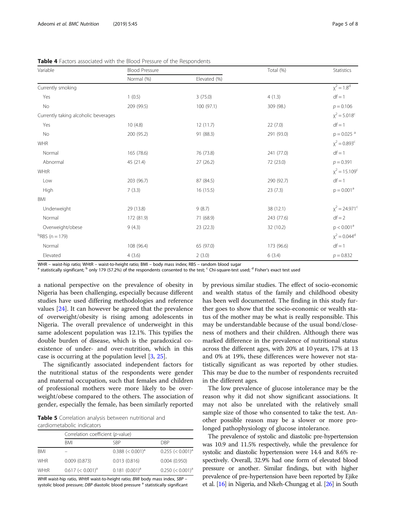| Variable                             | <b>Blood Pressure</b> |              | Total (%)  | Statistics                    |  |
|--------------------------------------|-----------------------|--------------|------------|-------------------------------|--|
|                                      | Normal (%)            | Elevated (%) |            |                               |  |
| Currently smoking                    |                       |              |            | $x^2 = 1.8^d$                 |  |
| Yes                                  | 1(0.5)                | 3(75.0)      | 4(1.3)     | $df = 1$                      |  |
| No                                   | 209 (99.5)            | 100(97.1)    | 309 (98.)  | $p = 0.106$                   |  |
| Currently taking alcoholic beverages |                       |              |            | $\chi^2$ = 5.018 <sup>c</sup> |  |
| Yes                                  | 10(4.8)               | 12(11.7)     | 22(7.0)    | $df = 1$                      |  |
| No                                   | 200 (95.2)            | 91 (88.3)    | 291 (93.0) | $p = 0.025$ <sup>a</sup>      |  |
| <b>WHR</b>                           |                       |              |            | $\chi^2$ = 0.893 <sup>c</sup> |  |
| Normal                               | 165 (78.6)            | 76 (73.8)    | 241 (77.0) | $df = 1$                      |  |
| Abnormal                             | 45 (21.4)             | 27(26.2)     | 72 (23.0)  | $p = 0.391$                   |  |
| WHtR                                 |                       |              |            | $x^2 = 15.109^{\circ}$        |  |
| Low                                  | 203 (96.7)            | 87 (84.5)    | 290 (92.7) | $df = 1$                      |  |
| High                                 | 7(3.3)                | 16(15.5)     | 23(7.3)    | $p = 0.001a$                  |  |
| BMI                                  |                       |              |            |                               |  |
| Underweight                          | 29 (13.8)             | 9(8.7)       | 38 (12.1)  | $x^2 = 24.971^{\circ}$        |  |
| Normal                               | 172 (81.9)            | 71 (68.9)    | 243 (77.6) | $df = 2$                      |  |
| Overweight/obese                     | 9(4.3)                | 23 (22.3)    | 32 (10.2)  | $p < 0.001^a$                 |  |
| $B$ RBS (n = 179)                    |                       |              |            | $x^2 = 0.044^d$               |  |
| Normal                               | 108 (96.4)            | 65 (97.0)    | 173 (96.6) | $df = 1$                      |  |
| Elevated                             | 4(3.6)                | 2(3.0)       | 6(3.4)     | $p = 0.832$                   |  |

<span id="page-4-0"></span>Table 4 Factors associated with the Blood Pressure of the Respondents

WHR – waist-hip ratio; WHtR – waist-to-height ratio; BMI – body mass index; RBS – random blood sugar<br><sup>a</sup> statistically significant; <sup>b</sup> only 179 (57.2%) of the respondents consented to the test; <sup>c</sup> Chi-square-test used; <sup></sup>

a national perspective on the prevalence of obesity in Nigeria has been challenging, especially because different studies have used differing methodologies and reference values [[24\]](#page-6-0). It can however be agreed that the prevalence of overweight/obesity is rising among adolescents in Nigeria. The overall prevalence of underweight in this same adolescent population was 12.1%. This typifies the double burden of disease, which is the paradoxical coexistence of under- and over-nutrition, which in this case is occurring at the population level [[3,](#page-6-0) [25\]](#page-6-0).

The significantly associated independent factors for the nutritional status of the respondents were gender and maternal occupation, such that females and children of professional mothers were more likely to be overweight/obese compared to the others. The association of gender, especially the female, has been similarly reported

Table 5 Correlation analysis between nutritional and cardiometabolic indicators

|             | Correlation coefficient (p-value) |                                 |                                 |  |  |  |  |
|-------------|-----------------------------------|---------------------------------|---------------------------------|--|--|--|--|
|             | <b>BMI</b>                        | SBP                             | <b>DRP</b>                      |  |  |  |  |
| <b>BMI</b>  |                                   | $0.388 \leq 0.001$ <sup>a</sup> | $0.255 \leq 0.001$ <sup>a</sup> |  |  |  |  |
| <b>WHR</b>  | 0.009(0.873)                      | 0.013(0.816)                    | 0.004(0.950)                    |  |  |  |  |
| <b>WHtR</b> | $0.617 \leq 0.001$ <sup>a</sup>   | $0.181(0.001)^{a}$              | $0.250 \leq 0.001$ <sup>a</sup> |  |  |  |  |

WHR waist-hip ratio, WHtR waist-to-height ratio; BMI body mass index, SBP systolic blood pressure; DBP diastolic blood pressure <sup>a</sup> statistically significant

by previous similar studies. The effect of socio-economic and wealth status of the family and childhood obesity has been well documented. The finding in this study further goes to show that the socio-economic or wealth status of the mother may be what is really responsible. This may be understandable because of the usual bond/closeness of mothers and their children. Although there was marked difference in the prevalence of nutritional status across the different ages, with 20% at 10 years, 17% at 13 and 0% at 19%, these differences were however not statistically significant as was reported by other studies. This may be due to the number of respondents recruited in the different ages.

The low prevalence of glucose intolerance may be the reason why it did not show significant associations. It may not also be unrelated with the relatively small sample size of those who consented to take the test. Another possible reason may be a slower or more prolonged pathophysiology of glucose intolerance.

The prevalence of systolic and diastolic pre-hypertension was 10.9 and 11.5% respectively, while the prevalence for systolic and diastolic hypertension were 14.4 and 8.6% respectively. Overall, 32.9% had one form of elevated blood pressure or another. Similar findings, but with higher prevalence of pre-hypertension have been reported by Ejike et al. [[16](#page-6-0)] in Nigeria, and Nkeh-Chungag et al. [\[26\]](#page-6-0) in South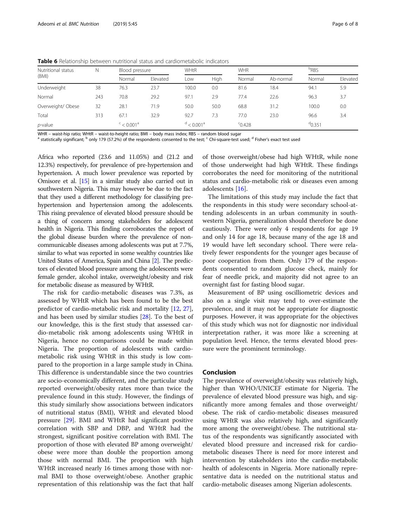| Nutritional status | N   | Blood pressure                     |          | <b>WHtR</b>              |      | <b>WHR</b> |           | <sup>b</sup> RBS |          |
|--------------------|-----|------------------------------------|----------|--------------------------|------|------------|-----------|------------------|----------|
| (BMI)              |     | Normal                             | Elevated | Low                      | High | Normal     | Ab-normal | Normal           | Elevated |
| Underweight        | 38  | 76.3                               | 23.7     | 100.0                    | 0.0  | 81.6       | 18.4      | 94.1             | 5.9      |
| Normal             | 243 | 70.8                               | 29.2     | 97.1                     | 2.9  | 77.4       | 22.6      | 96.3             | 3.7      |
| Overweight/ Obese  | 32  | 28.1                               | 71.9     | 50.0                     | 50.0 | 68.8       | 31.2      | 100.0            | 0.0      |
| Total              | 313 | 67.1                               | 32.9     | 92.7                     | 7.3  | 77.0       | 23.0      | 96.6             | 3.4      |
| p-value            |     | $\frac{c}{c}$ < 0.001 <sup>a</sup> |          | $d < 0.001$ <sup>a</sup> |      | $C$ 0.428  |           | $^{d}$ 0.351     |          |

<span id="page-5-0"></span>Table 6 Relationship between nutritional status and cardiometabolic indicators

WHR – waist-hip ratio; WHtR – waist-to-height ratio; BMI – body mass index; RBS – random blood sugar<br><sup>a</sup> statistically significant; <sup>b</sup> only 179 (57.2%) of the respondents consented to the test; <sup>c</sup> Chi-square-test used; <sup></sup>

Africa who reported (23.6 and 11.05%) and (21.2 and 12.3%) respectively, for prevalence of pre-hypertension and hypertension. A much lower prevalence was reported by Omisore et al. [\[15\]](#page-6-0) in a similar study also carried out in southwestern Nigeria. This may however be due to the fact that they used a different methodology for classifying prehypertension and hypertension among the adolescents. This rising prevalence of elevated blood pressure should be a thing of concern among stakeholders for adolescent health in Nigeria. This finding corroborates the report of the global disease burden where the prevalence of noncommunicable diseases among adolescents was put at 7.7%, similar to what was reported in some wealthy countries like United States of America, Spain and China [[2](#page-6-0)]. The predictors of elevated blood pressure among the adolescents were female gender, alcohol intake, overweight/obesity and risk for metabolic disease as measured by WHtR.

The risk for cardio-metabolic diseases was 7.3%, as assessed by WHtR which has been found to be the best predictor of cardio-metabolic risk and mortality [\[12](#page-6-0), [27](#page-6-0)], and has been used by similar studies [[28\]](#page-7-0). To the best of our knowledge, this is the first study that assessed cardio-metabolic risk among adolescents using WHtR in Nigeria, hence no comparisons could be made within Nigeria. The proportion of adolescents with cardiometabolic risk using WHtR in this study is low compared to the proportion in a large sample study in China. This difference is understandable since the two countries are socio-economically different, and the particular study reported overweight/obesity rates more than twice the prevalence found in this study. However, the findings of this study similarly show associations between indicators of nutritional status (BMI), WHtR and elevated blood pressure [[29\]](#page-7-0). BMI and WHtR had significant positive correlation with SBP and DBP, and WHtR had the strongest, significant positive correlation with BMI. The proportion of those with elevated BP among overweight/ obese were more than double the proportion among those with normal BMI. The proportion with high WHtR increased nearly 16 times among those with normal BMI to those overweight/obese. Another graphic representation of this relationship was the fact that half

of those overweight/obese had high WHtR, while none of those underweight had high WHtR. These findings corroborates the need for monitoring of the nutritional status and cardio-metabolic risk or diseases even among adolescents [\[16](#page-6-0)].

The limitations of this study may include the fact that the respondents in this study were secondary school-attending adolescents in an urban community in southwestern Nigeria, generalization should therefore be done cautiously. There were only 4 respondents for age 19 and only 14 for age 18, because many of the age 18 and 19 would have left secondary school. There were relatively fewer respondents for the younger ages because of poor cooperation from them. Only 179 of the respondents consented to random glucose check, mainly for fear of needle prick, and majority did not agree to an overnight fast for fasting blood sugar.

Measurement of BP using oscilliometric devices and also on a single visit may tend to over-estimate the prevalence, and it may not be appropriate for diagnostic purposes. However, it was appropriate for the objectives of this study which was not for diagnostic nor individual interpretation rather, it was more like a screening at population level. Hence, the terms elevated blood pressure were the prominent terminology.

### Conclusion

The prevalence of overweight/obesity was relatively high, higher than WHO/UNICEF estimate for Nigeria. The prevalence of elevated blood pressure was high, and significantly more among females and those overweight/ obese. The risk of cardio-metabolic diseases measured using WHtR was also relatively high, and significantly more among the overweight/obese. The nutritional status of the respondents was significantly associated with elevated blood pressure and increased risk for cardiometabolic diseases There is need for more interest and intervention by stakeholders into the cardio-metabolic health of adolescents in Nigeria. More nationally representative data is needed on the nutritional status and cardio-metabolic diseases among Nigerian adolescents.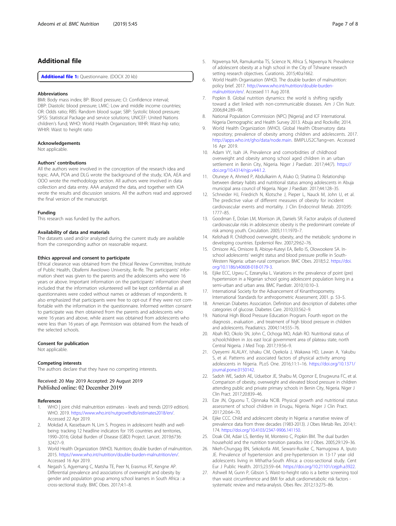# <span id="page-6-0"></span>Additional file

[Additional file 1:](https://doi.org/10.1186/s40795-019-0308-5) Questionnaire. (DOCX 20 kb)

#### Abbreviations

BMI: Body mass index; BP: Blood pressure; CI: Confidence interval; DBP: Diastolic blood pressure; LMIC: Low and middle income countries; OR: Odds ratio; RBS: Random blood sugar; SBP: Systolic blood pressure; SPSS: Statistical Package and service solutions; UNICEF: United Nations children's fund; WHO: World Health Organization; WHR: Waist-hip ratio; WHtR: Waist to height ratio

#### Acknowledgements

Not applicable.

#### Authors' contributions

All the authors were involved in the conception of the research idea and topic. AAA, POA and DLG wrote the background of the study, IOA, AEA and OOO wrote the methodology section. All authors were involved in data collection and data entry. AAA analyzed the data, and together with IOA wrote the results and discussion sessions. All the authors read and approved the final version of the manuscript.

#### Funding

This research was funded by the authors.

#### Availability of data and materials

The datasets used and/or analyzed during the current study are available from the corresponding author on reasonable request.

#### Ethics approval and consent to participate

Ethical clearance was obtained from the Ethical Review Committee, Institute of Public Health, Obafemi Awolowo University, Ile-Ife. The participants' information sheet was given to the parents and the adolescents who were 16 years or above. Important information on the participants' information sheet included that the information volunteered will be kept confidential as all questionnaires were coded without names or addresses of respondents. It also emphasized that participants were free to opt-out if they were not comfortable with the information in the questionnaire. Informed written consent to participate was then obtained from the parents and adolescents who were 16 years and above, while assent was obtained from adolescents who were less than 16 years of age. Permission was obtained from the heads of the selected schools.

#### Consent for publication

Not applicable.

#### Competing interests

The authors declare that they have no competing interests.

Received: 20 May 2019 Accepted: 29 August 2019 Published online: 02 December 2019

#### References

- 1. WHO | joint child malnutrition estimates levels and trends (2019 edition). WHO. 2019. <https://www.who.int/nutgrowthdb/estimates2018/en/>. Accessed 22 Apr 2019.
- 2. Mokdad A, Kassebaum N, Lim S. Progress in adolescent health and wellbeing: tracking 12 headline indicators for 195 countries and territories, 1990–2016; Global Burden of Disease (GBD) Project. Lancet. 2019;6736: 32427–9.
- 3. World Health Organization (WHO). Nutrition; double burden of malnutrition. 2015. <https://www.who.int/nutrition/double-burden-malnutrition/en/>. Accessed 16 Apr 2019.
- 4. Negash S, Agyemang C, Matsha TE, Peer N, Erasmus RT, Kengne AP. Differential prevalence and associations of overweight and obesity by gender and population group among school learners in South Africa : a cross-sectional study. BMC Obes. 2017;4:1–8.
- 5. Ngwenya NA, Ramukumba TS, Science N, Africa S, Ngwenya N. Prevalence of adolescent obesity at a high school in the City of Tshwane research setting research objectives. Curationis. 2015;40:a1662.
- 6. World Health Organisation (WHO). The double burden of malnutrition: policy brief. 2017. [http://www.who.int/nutrition/double-burden](http://www.who.int/nutrition/double-burden-malnutrition/en/)[malnutrition/en/.](http://www.who.int/nutrition/double-burden-malnutrition/en/) Accessed 11 Aug 2018.
- 7. Popkin B. Global nutrition dynamics: the world is shifting rapidly toward a diet linked with non-communicable diseases. Am J Clin Nutr. 2006;84:289–98.
- 8. National Population Commission (NPC) [Nigeria] and ICF International. Nigeria Demographic and Health Survey 2013. Abuja and Rockville; 2014.
- 9. World Health Organization (WHO). Global Health Observatory data repository; prevalence of obesity among children and adolescents. 2017. [http://apps.who.int/gho/data/node.main.](http://apps.who.int/gho/data/node.main) BMIPLUS2C?lang=en. Accessed 16 Apr 2019.
- 10. Adam VY, Isah JA. Prevalence and comorbidities of childhood overweight and obesity among school aged children in an urban settlement in Benin City, Nigeria. Niger J Paediatr. 2017;44(7). [https://](https://doi.org/10.4314/njp.v44i1.2.) [doi.org/10.4314/njp.v44i1.2.](https://doi.org/10.4314/njp.v44i1.2.)
- 11. Otuneye A, Ahmed P, Abdulkarim A, Aluko O, Shatima D. Relationship between dietary habits and nutritional status among adolescents in Abuja municipal area council of Nigeria. Niger J Paediatr. 2017;44:128–35.
- 12. Schneider HJ, Friedrich N, Klotsche J, Pieper L, Nauck M, John U, et al. The predictive value of different measures of obesity for incident cardiovascular events and mortality. J Clin Endocrinol Metab. 2010;95: 1777–85.
- 13. Goodman E, Dolan LM, Morrison JA, Daniels SR. Factor analysis of clustered cardiovascular risks in adolescence: obesity is the predominant correlate of risk among youth. Circulation. 2005;111:1970–7.
- 14. Kelishadi R. Childhood overweight, obesity, and the metabolic syndrome in developing countries. Epidemiol Rev. 2007;29:62–76.
- 15. Omisore AG, Omisore B, Abioye-Kuteyi EA, Bello IS, Olowookere SA. Inschool adolescents' weight status and blood pressure profile in South-Western Nigeria: urban-rural comparison. BMC Obes. 2018;5:2. [https://doi.](https://doi.org/10.1186/s40608-018-0179-3) [org/10.1186/s40608-018-0179-3](https://doi.org/10.1186/s40608-018-0179-3).
- 16. Ejike ECC, Ugwu C, Ezeanyika L. Variations in the prevalence of point (pre) hypertension in a Nigerian school going adolescent population living in a semi-urban and urban area. BMC Paediatr. 2010;10:10–3.
- 17. International Society for the Advancement of Kinanthropometry. International Standards for anthropometric Assessment; 2001. p. 53–5.
- 18. American Diabetes Association. Definition and description of diabetes other categories of glucose. Diabetes Care. 2010;33:562–9.
- 19. National High Blood Pressure Education Program. Fourth report on the diagnosis , evaluation , and treatment of high blood pressure in children and adolescents. Peadiatrics. 2004;114:555–76.
- 20. Abah RO, Okolo SN, John C, Ochoga MO, Adah RO. Nutritional status of schoolchildren in Jos east local government area of plateau state, north Central Nigeria. J Med Trop. 2017;19:56–9.
- 21. Oyeyemi ALALAY, Ishaku CM, Oyekola J, Wakawa HD, Lawan A, Yakubu S, et al. Patterns and associated factors of physical activity among adolescents in Nigeria. PLoS One. 2016;11:1–16. [https://doi.org/10.1371/](https://doi.org/10.1371/journal.pone.0150142) [journal.pone.0150142](https://doi.org/10.1371/journal.pone.0150142).
- 22. Sadoh WE, Sadoh AE, Uduebor JE, Shaibu M, Ogonor E, Enugwuna FC, et al. Comparison of obesity, overweight and elevated blood pressure in children attending public and private primary schools in Benin City, Nigeria. Niger J Clin Pract. 2017;20:839–46.
- 23. Eze JN, Oguonu T, Ojinnaka NCIB. Physical growth and nutritional status assessment of school children in Enugu, Nigeria. Niger J Clin Pract. 2017;20:64–70.
- 24. Ejike CCC. Child and adolescent obesity in Nigeria: a narrative review of prevalence data from three decades (1983-2013). J Obes Metab Res. 2014;1: 174. [https://doi.org/10.4103/2347-9906.141150.](https://doi.org/10.4103/2347-9906.141150)
- 25. Doak CM, Adair LS, Bentley M, Monteiro C, Popkin BM. The dual burden household and the nutrition transition paradox. Int J Obes. 2005;29:129–36.
- 26. Nkeh-Chungag BN, Sekokotla AM, Sewani-Rusike C, Namugowa A, Iputo JE. Prevalence of hypertension and pre-hypertension in 13-17 year old adolescents living in Mthatha-South Africa: a cross-sectional study. Cent Eur J Public Health. 2015;23:59–64. [https://doi.org/10.21101/cejph.a3922.](https://doi.org/10.21101/cejph.a3922)
- 27. Ashwell M, Gunn P, Gibson S. Waist-to-height ratio is a better screening tool than waist circumference and BMI for adult cardiometabolic risk factors systematic review and meta-analysis. Obes Rev. 2012;13:275–86.